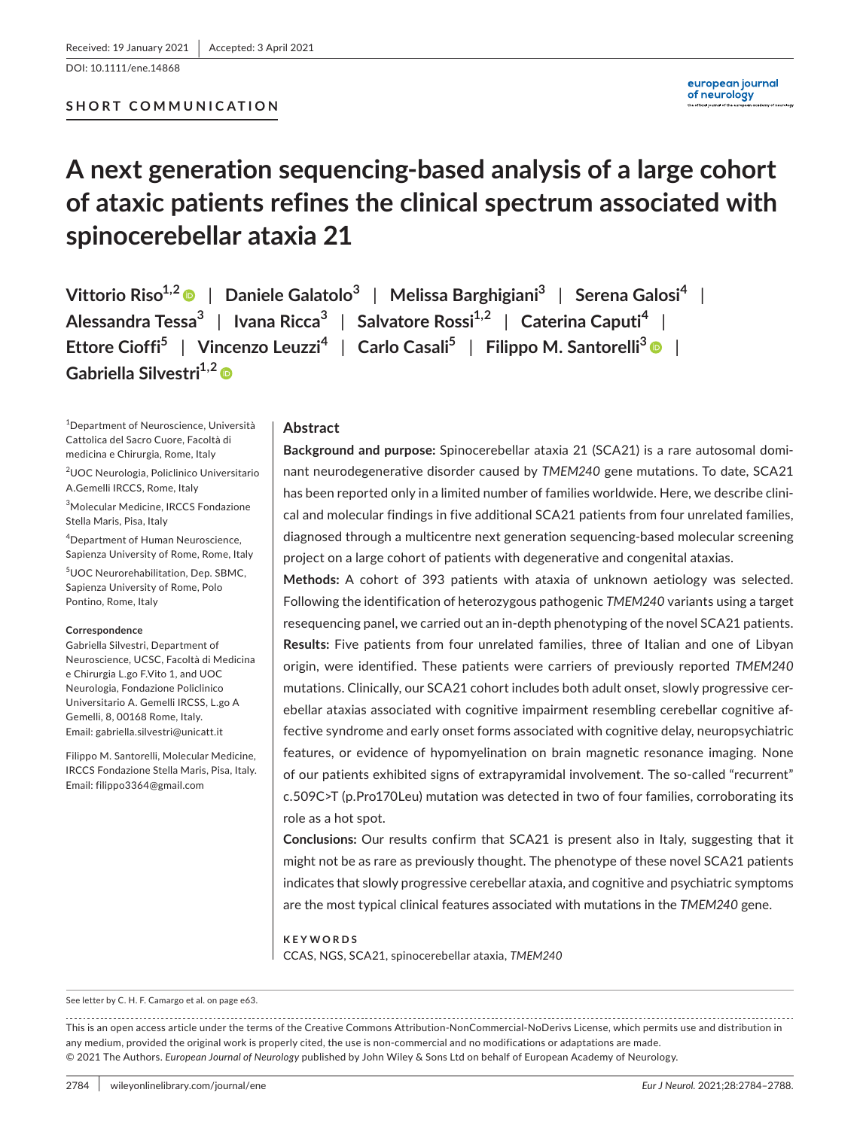DOI: 10.1111/ene.14868

european journal of neurology

# **A next generation sequencing-based analysis of a large cohort of ataxic patients refines the clinical spectrum associated with spinocerebellar ataxia 21**

**Vittorio Riso1,2** | **Daniele Galatolo<sup>3</sup>** | **Melissa Barghigiani3** | **Serena Galosi<sup>4</sup>** | **Alessandra Tessa3** | **Ivana Ricca3** | **Salvatore Rossi1,2** | **Caterina Caputi<sup>4</sup>** | **Ettore Cioffi5** | **Vincenzo Leuzzi<sup>4</sup>** | **Carlo Casali5** | **Filippo M. Santorelli3** | **Gabriella Silvestri1,[2](https://orcid.org/0000-0002-1950-1468)**

1 Department of Neuroscience, Università Cattolica del Sacro Cuore, Facoltà di medicina e Chirurgia, Rome, Italy

2 UOC Neurologia, Policlinico Universitario A.Gemelli IRCCS, Rome, Italy

3 Molecular Medicine, IRCCS Fondazione Stella Maris, Pisa, Italy

4 Department of Human Neuroscience, Sapienza University of Rome, Rome, Italy 5 UOC Neurorehabilitation, Dep. SBMC, Sapienza University of Rome, Polo Pontino, Rome, Italy

#### **Correspondence**

Gabriella Silvestri, Department of Neuroscience, UCSC, Facoltà di Medicina e Chirurgia L.go F.Vito 1, and UOC Neurologia, Fondazione Policlinico Universitario A. Gemelli IRCSS, L.go A Gemelli, 8, 00168 Rome, Italy. Email: [gabriella.silvestri@unicatt.it](mailto:gabriella.silvestri@unicatt.it)

Filippo M. Santorelli, Molecular Medicine, IRCCS Fondazione Stella Maris, Pisa, Italy. Email: [filippo3364@gmail.com](mailto:filippo3364@gmail.com)

### **Abstract**

**Background and purpose:** Spinocerebellar ataxia 21 (SCA21) is a rare autosomal dominant neurodegenerative disorder caused by *TMEM240* gene mutations. To date, SCA21 has been reported only in a limited number of families worldwide. Here, we describe clinical and molecular findings in five additional SCA21 patients from four unrelated families, diagnosed through a multicentre next generation sequencing-based molecular screening project on a large cohort of patients with degenerative and congenital ataxias.

**Methods:** A cohort of 393 patients with ataxia of unknown aetiology was selected. Following the identification of heterozygous pathogenic *TMEM240* variants using a target resequencing panel, we carried out an in-depth phenotyping of the novel SCA21 patients. **Results:** Five patients from four unrelated families, three of Italian and one of Libyan origin, were identified. These patients were carriers of previously reported *TMEM240* mutations. Clinically, our SCA21 cohort includes both adult onset, slowly progressive cerebellar ataxias associated with cognitive impairment resembling cerebellar cognitive affective syndrome and early onset forms associated with cognitive delay, neuropsychiatric features, or evidence of hypomyelination on brain magnetic resonance imaging. None of our patients exhibited signs of extrapyramidal involvement. The so-called "recurrent" c.509C>T (p.Pro170Leu) mutation was detected in two of four families, corroborating its role as a hot spot.

**Conclusions:** Our results confirm that SCA21 is present also in Italy, suggesting that it might not be as rare as previously thought. The phenotype of these novel SCA21 patients indicates that slowly progressive cerebellar ataxia, and cognitive and psychiatric symptoms are the most typical clinical features associated with mutations in the *TMEM240* gene.

**KEYWORDS** CCAS, NGS, SCA21, spinocerebellar ataxia, *TMEM240*

See letter by C. H. F. Camargo et al. on page e63.

This is an open access article under the terms of the [Creative Commons Attribution-NonCommercial-NoDerivs](http://creativecommons.org/licenses/by-nc-nd/4.0/) License, which permits use and distribution in any medium, provided the original work is properly cited, the use is non-commercial and no modifications or adaptations are made. © 2021 The Authors. *European Journal of Neurology* published by John Wiley & Sons Ltd on behalf of European Academy of Neurology.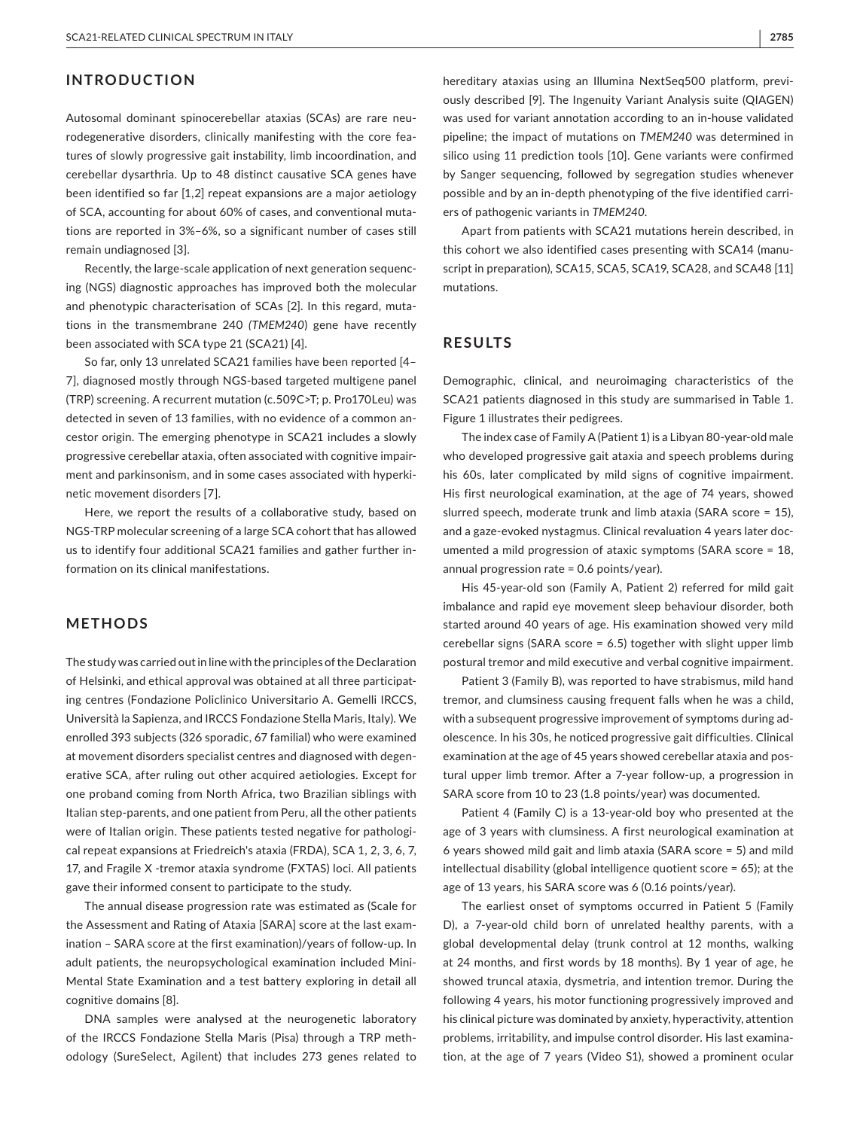### **INTRODUCTION**

Autosomal dominant spinocerebellar ataxias (SCAs) are rare neurodegenerative disorders, clinically manifesting with the core features of slowly progressive gait instability, limb incoordination, and cerebellar dysarthria. Up to 48 distinct causative SCA genes have been identified so far [1,2] repeat expansions are a major aetiology of SCA, accounting for about 60% of cases, and conventional mutations are reported in 3%–6%, so a significant number of cases still remain undiagnosed [3].

Recently, the large-scale application of next generation sequencing (NGS) diagnostic approaches has improved both the molecular and phenotypic characterisation of SCAs [2]. In this regard, mutations in the transmembrane 240 *(TMEM240*) gene have recently been associated with SCA type 21 (SCA21) [4].

So far, only 13 unrelated SCA21 families have been reported [4– 7], diagnosed mostly through NGS-based targeted multigene panel (TRP) screening. A recurrent mutation (c.509C>T; p. Pro170Leu) was detected in seven of 13 families, with no evidence of a common ancestor origin. The emerging phenotype in SCA21 includes a slowly progressive cerebellar ataxia, often associated with cognitive impairment and parkinsonism, and in some cases associated with hyperkinetic movement disorders [7].

Here, we report the results of a collaborative study, based on NGS-TRP molecular screening of a large SCA cohort that has allowed us to identify four additional SCA21 families and gather further information on its clinical manifestations.

#### **METHODS**

The study was carried out in line with the principles of the Declaration of Helsinki, and ethical approval was obtained at all three participating centres (Fondazione Policlinico Universitario A. Gemelli IRCCS, Università la Sapienza, and IRCCS Fondazione Stella Maris, Italy). We enrolled 393 subjects (326 sporadic, 67 familial) who were examined at movement disorders specialist centres and diagnosed with degenerative SCA, after ruling out other acquired aetiologies. Except for one proband coming from North Africa, two Brazilian siblings with Italian step-parents, and one patient from Peru, all the other patients were of Italian origin. These patients tested negative for pathological repeat expansions at Friedreich's ataxia (FRDA), SCA 1, 2, 3, 6, 7, 17, and Fragile X -tremor ataxia syndrome (FXTAS) loci. All patients gave their informed consent to participate to the study.

The annual disease progression rate was estimated as (Scale for the Assessment and Rating of Ataxia [SARA] score at the last examination – SARA score at the first examination)/years of follow-up. In adult patients, the neuropsychological examination included Mini-Mental State Examination and a test battery exploring in detail all cognitive domains [8].

DNA samples were analysed at the neurogenetic laboratory of the IRCCS Fondazione Stella Maris (Pisa) through a TRP methodology (SureSelect, Agilent) that includes 273 genes related to

hereditary ataxias using an Illumina NextSeq500 platform, previously described [9]. The Ingenuity Variant Analysis suite (QIAGEN) was used for variant annotation according to an in-house validated pipeline; the impact of mutations on *TMEM240* was determined in silico using 11 prediction tools [10]. Gene variants were confirmed by Sanger sequencing, followed by segregation studies whenever possible and by an in-depth phenotyping of the five identified carriers of pathogenic variants in *TMEM240*.

Apart from patients with SCA21 mutations herein described, in this cohort we also identified cases presenting with SCA14 (manuscript in preparation), SCA15, SCA5, SCA19, SCA28, and SCA48 [11] mutations.

## **RESULTS**

Demographic, clinical, and neuroimaging characteristics of the SCA21 patients diagnosed in this study are summarised in Table 1. Figure 1 illustrates their pedigrees.

The index case of Family A (Patient 1) is a Libyan 80-year-old male who developed progressive gait ataxia and speech problems during his 60s, later complicated by mild signs of cognitive impairment. His first neurological examination, at the age of 74 years, showed slurred speech, moderate trunk and limb ataxia (SARA score = 15), and a gaze-evoked nystagmus. Clinical revaluation 4 years later documented a mild progression of ataxic symptoms (SARA score = 18, annual progression rate = 0.6 points/year).

His 45-year-old son (Family A, Patient 2) referred for mild gait imbalance and rapid eye movement sleep behaviour disorder, both started around 40 years of age. His examination showed very mild cerebellar signs (SARA score = 6.5) together with slight upper limb postural tremor and mild executive and verbal cognitive impairment.

Patient 3 (Family B), was reported to have strabismus, mild hand tremor, and clumsiness causing frequent falls when he was a child, with a subsequent progressive improvement of symptoms during adolescence. In his 30s, he noticed progressive gait difficulties. Clinical examination at the age of 45 years showed cerebellar ataxia and postural upper limb tremor. After a 7-year follow-up, a progression in SARA score from 10 to 23 (1.8 points/year) was documented.

Patient 4 (Family C) is a 13-year-old boy who presented at the age of 3 years with clumsiness. A first neurological examination at 6 years showed mild gait and limb ataxia (SARA score = 5) and mild intellectual disability (global intelligence quotient score = 65); at the age of 13 years, his SARA score was 6 (0.16 points/year).

The earliest onset of symptoms occurred in Patient 5 (Family D), a 7-year-old child born of unrelated healthy parents, with a global developmental delay (trunk control at 12 months, walking at 24 months, and first words by 18 months). By 1 year of age, he showed truncal ataxia, dysmetria, and intention tremor. During the following 4 years, his motor functioning progressively improved and his clinical picture was dominated by anxiety, hyperactivity, attention problems, irritability, and impulse control disorder. His last examination, at the age of 7 years (Video S1), showed a prominent ocular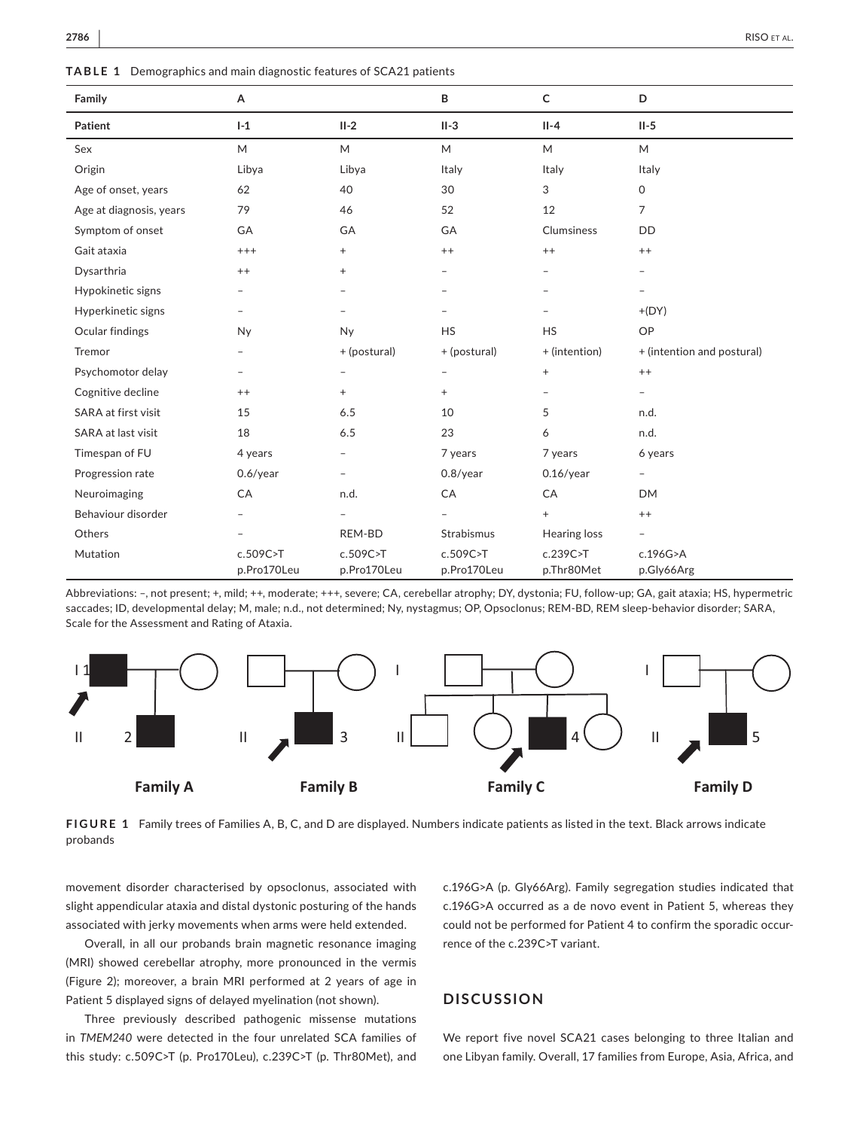**TABLE 1** Demographics and main diagnostic features of SCA21 patients

| Family                  | А                       |                          | B                        | $\mathsf{C}$             | D                          |
|-------------------------|-------------------------|--------------------------|--------------------------|--------------------------|----------------------------|
| Patient                 | $I-1$                   | $II-2$                   | $II-3$                   | $II-4$                   | $II-5$                     |
| Sex                     | M                       | M                        | M                        | M                        | M                          |
| Origin                  | Libya                   | Libya                    | Italy                    | Italy                    | Italy                      |
| Age of onset, years     | 62                      | 40                       | 30                       | 3                        | $\mathsf O$                |
| Age at diagnosis, years | 79                      | 46                       | 52                       | 12                       | $\overline{7}$             |
| Symptom of onset        | GA                      | <b>GA</b>                | GA                       | Clumsiness               | <b>DD</b>                  |
| Gait ataxia             | $^{+++}$                | $\! + \!\!\!\!$          | $++$                     | $^{++}$                  | $^{++}$                    |
| Dysarthria              | $^{++}$                 | $^{+}$                   | $\overline{\phantom{m}}$ | $\overline{\phantom{0}}$ | $\overline{a}$             |
| Hypokinetic signs       |                         | $\overline{\phantom{m}}$ |                          |                          |                            |
| Hyperkinetic signs      |                         | $\overline{\phantom{0}}$ |                          |                          | $+(DY)$                    |
| Ocular findings         | Ny                      | <b>Ny</b>                | <b>HS</b>                | <b>HS</b>                | OP                         |
| Tremor                  |                         | + (postural)             | + (postural)             | + (intention)            | + (intention and postural) |
| Psychomotor delay       |                         | $\overline{\phantom{m}}$ |                          | $^{+}$                   | $^{++}$                    |
| Cognitive decline       | $^{++}$                 | $^{+}$                   | $+$                      | $\overline{\phantom{a}}$ | $\overline{\phantom{a}}$   |
| SARA at first visit     | 15                      | 6.5                      | 10                       | 5                        | n.d.                       |
| SARA at last visit      | 18                      | 6.5                      | 23                       | 6                        | n.d.                       |
| Timespan of FU          | 4 years                 | $\overline{\phantom{a}}$ | 7 years                  | 7 years                  | 6 years                    |
| Progression rate        | $0.6$ /year             | $\overline{\phantom{a}}$ | $0.8$ /year              | $0.16$ /year             | -                          |
| Neuroimaging            | CA                      | n.d.                     | CA                       | CA                       | <b>DM</b>                  |
| Behaviour disorder      |                         |                          |                          | $^{+}$                   | $^{++}$                    |
| Others                  |                         | REM-BD                   | Strabismus               | Hearing loss             |                            |
| Mutation                | c.509C>T<br>p.Pro170Leu | c.509C>T<br>p.Pro170Leu  | c.509C>T<br>p.Pro170Leu  | c.239C > T<br>p.Thr80Met | c.196G>A<br>p.Gly66Arg     |

Abbreviations: –, not present; +, mild; ++, moderate; +++, severe; CA, cerebellar atrophy; DY, dystonia; FU, follow-up; GA, gait ataxia; HS, hypermetric saccades; ID, developmental delay; M, male; n.d., not determined; Ny, nystagmus; OP, Opsoclonus; REM-BD, REM sleep-behavior disorder; SARA, Scale for the Assessment and Rating of Ataxia.



**FIGURE 1** Family trees of Families A, B, C, and D are displayed. Numbers indicate patients as listed in the text. Black arrows indicate probands

movement disorder characterised by opsoclonus, associated with slight appendicular ataxia and distal dystonic posturing of the hands associated with jerky movements when arms were held extended.

Overall, in all our probands brain magnetic resonance imaging (MRI) showed cerebellar atrophy, more pronounced in the vermis (Figure 2); moreover, a brain MRI performed at 2 years of age in Patient 5 displayed signs of delayed myelination (not shown).

Three previously described pathogenic missense mutations in *TMEM240* were detected in the four unrelated SCA families of this study: c.509C>T (p. Pro170Leu), c.239C>T (p. Thr80Met), and

c.196G>A (p. Gly66Arg). Family segregation studies indicated that c.196G>A occurred as a de novo event in Patient 5, whereas they could not be performed for Patient 4 to confirm the sporadic occurrence of the c.239C>T variant.

## **DISCUSSION**

We report five novel SCA21 cases belonging to three Italian and one Libyan family. Overall, 17 families from Europe, Asia, Africa, and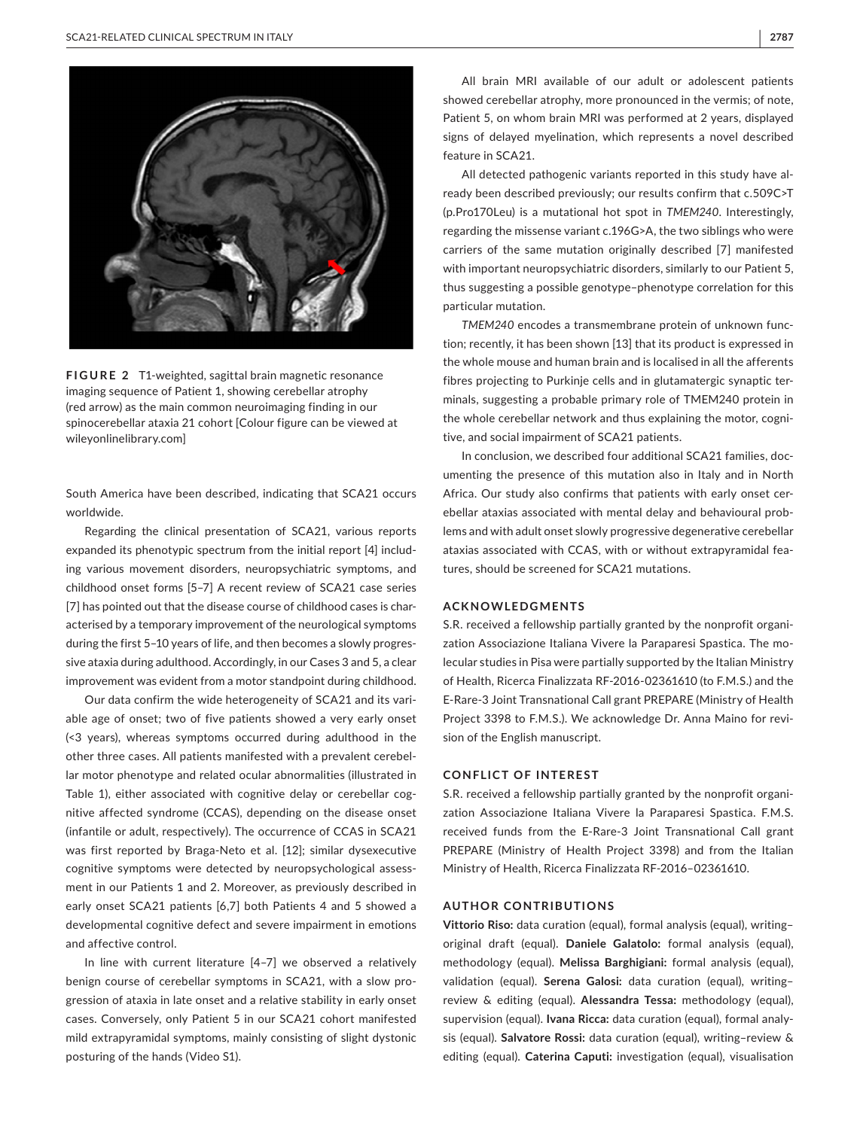

**FIGURE 2** T1-weighted, sagittal brain magnetic resonance imaging sequence of Patient 1, showing cerebellar atrophy (red arrow) as the main common neuroimaging finding in our spinocerebellar ataxia 21 cohort [Colour figure can be viewed at [wileyonlinelibrary.com](www.wileyonlinelibrary.com)]

South America have been described, indicating that SCA21 occurs worldwide.

Regarding the clinical presentation of SCA21, various reports expanded its phenotypic spectrum from the initial report [4] including various movement disorders, neuropsychiatric symptoms, and childhood onset forms [5–7] A recent review of SCA21 case series [7] has pointed out that the disease course of childhood cases is characterised by a temporary improvement of the neurological symptoms during the first 5–10 years of life, and then becomes a slowly progressive ataxia during adulthood. Accordingly, in our Cases 3 and 5, a clear improvement was evident from a motor standpoint during childhood.

Our data confirm the wide heterogeneity of SCA21 and its variable age of onset; two of five patients showed a very early onset (<3 years), whereas symptoms occurred during adulthood in the other three cases. All patients manifested with a prevalent cerebellar motor phenotype and related ocular abnormalities (illustrated in Table 1), either associated with cognitive delay or cerebellar cognitive affected syndrome (CCAS), depending on the disease onset (infantile or adult, respectively). The occurrence of CCAS in SCA21 was first reported by Braga-Neto et al. [12]; similar dysexecutive cognitive symptoms were detected by neuropsychological assessment in our Patients 1 and 2. Moreover, as previously described in early onset SCA21 patients [6,7] both Patients 4 and 5 showed a developmental cognitive defect and severe impairment in emotions and affective control.

In line with current literature [4–7] we observed a relatively benign course of cerebellar symptoms in SCA21, with a slow progression of ataxia in late onset and a relative stability in early onset cases. Conversely, only Patient 5 in our SCA21 cohort manifested mild extrapyramidal symptoms, mainly consisting of slight dystonic posturing of the hands (Video S1).

All brain MRI available of our adult or adolescent patients showed cerebellar atrophy, more pronounced in the vermis; of note, Patient 5, on whom brain MRI was performed at 2 years, displayed signs of delayed myelination, which represents a novel described feature in SCA21.

All detected pathogenic variants reported in this study have already been described previously; our results confirm that c.509C>T (p.Pro170Leu) is a mutational hot spot in *TMEM240*. Interestingly, regarding the missense variant c.196G>A, the two siblings who were carriers of the same mutation originally described [7] manifested with important neuropsychiatric disorders, similarly to our Patient 5, thus suggesting a possible genotype–phenotype correlation for this particular mutation.

*TMEM240* encodes a transmembrane protein of unknown function; recently, it has been shown [13] that its product is expressed in the whole mouse and human brain and is localised in all the afferents fibres projecting to Purkinje cells and in glutamatergic synaptic terminals, suggesting a probable primary role of TMEM240 protein in the whole cerebellar network and thus explaining the motor, cognitive, and social impairment of SCA21 patients.

In conclusion, we described four additional SCA21 families, documenting the presence of this mutation also in Italy and in North Africa. Our study also confirms that patients with early onset cerebellar ataxias associated with mental delay and behavioural problems and with adult onset slowly progressive degenerative cerebellar ataxias associated with CCAS, with or without extrapyramidal features, should be screened for SCA21 mutations.

#### **ACKNOWLEDGMENTS**

S.R. received a fellowship partially granted by the nonprofit organization Associazione Italiana Vivere la Paraparesi Spastica. The molecular studies in Pisa were partially supported by the Italian Ministry of Health, Ricerca Finalizzata RF-2016-02361610 (to F.M.S.) and the E-Rare-3 Joint Transnational Call grant PREPARE (Ministry of Health Project 3398 to F.M.S.). We acknowledge Dr. Anna Maino for revision of the English manuscript.

#### **CONFLICT OF INTEREST**

S.R. received a fellowship partially granted by the nonprofit organization Associazione Italiana Vivere la Paraparesi Spastica. F.M.S. received funds from the E-Rare-3 Joint Transnational Call grant PREPARE (Ministry of Health Project 3398) and from the Italian Ministry of Health, Ricerca Finalizzata RF-2016–02361610.

#### **AUTHOR CONTRIBUTIONS**

**Vittorio Riso:** data curation (equal), formal analysis (equal), writing– original draft (equal). **Daniele Galatolo:** formal analysis (equal), methodology (equal). **Melissa Barghigiani:** formal analysis (equal), validation (equal). **Serena Galosi:** data curation (equal), writing– review & editing (equal). **Alessandra Tessa:** methodology (equal), supervision (equal). **Ivana Ricca:** data curation (equal), formal analysis (equal). **Salvatore Rossi:** data curation (equal), writing–review & editing (equal). **Caterina Caputi:** investigation (equal), visualisation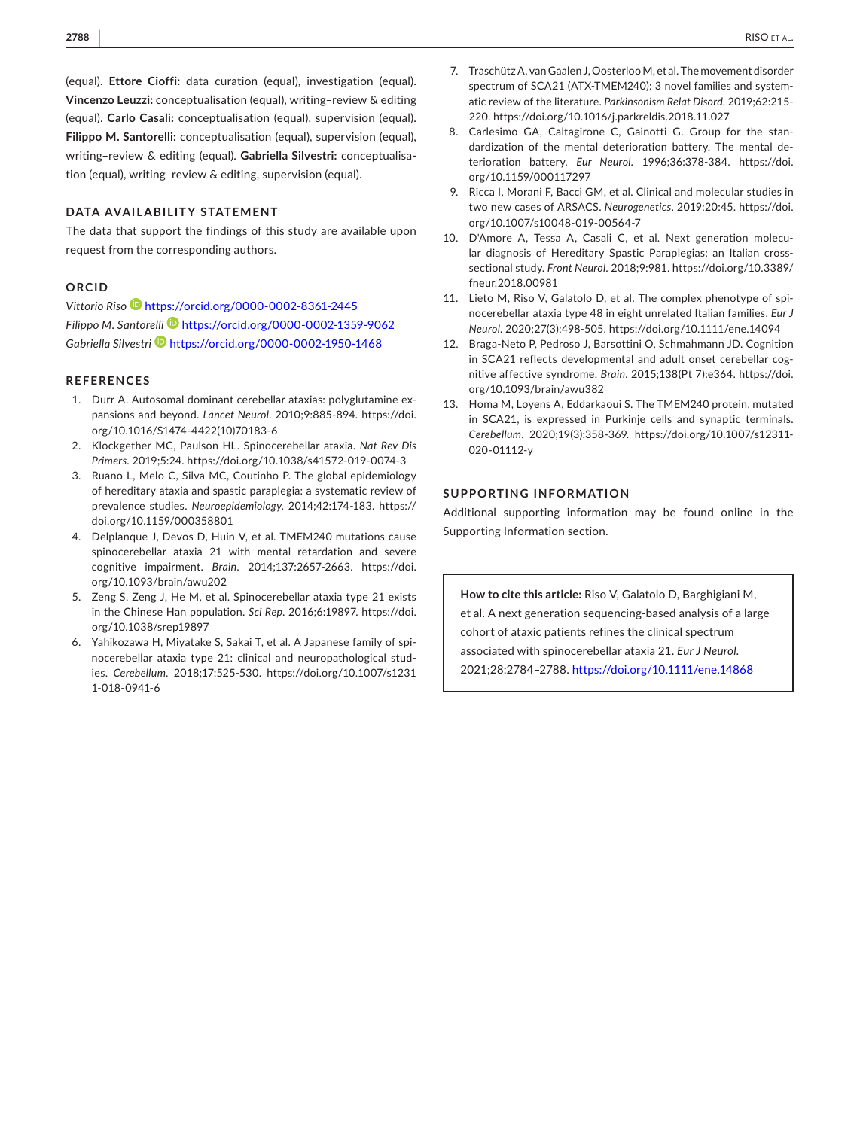(equal). **Ettore Cioffi:** data curation (equal), investigation (equal). **Vincenzo Leuzzi:** conceptualisation (equal), writing–review & editing (equal). **Carlo Casali:** conceptualisation (equal), supervision (equal). **Filippo M. Santorelli:** conceptualisation (equal), supervision (equal), writing–review & editing (equal). **Gabriella Silvestri:** conceptualisation (equal), writing–review & editing, supervision (equal).

#### **DATA AVAILABILITY STATEMENT**

The data that support the findings of this study are available upon request from the corresponding authors.

#### **ORCID**

*Vittorio Riso* <https://orcid.org/0000-0002-8361-2445> *Filippo M. Santorelli* <https://orcid.org/0000-0002-1359-9062> Gabriella Silvestri<sup>D</sup> <https://orcid.org/0000-0002-1950-1468>

#### **REFERENCES**

- 1. Durr A. Autosomal dominant cerebellar ataxias: polyglutamine expansions and beyond. *Lancet Neurol*. 2010;9:885-894. [https://doi.](https://doi.org/10.1016/S1474-4422(10)70183-6) [org/10.1016/S1474-4422\(10\)70183-6](https://doi.org/10.1016/S1474-4422(10)70183-6)
- 2. Klockgether MC, Paulson HL. Spinocerebellar ataxia. *Nat Rev Dis Primers*. 2019;5:24. <https://doi.org/10.1038/s41572-019-0074-3>
- 3. Ruano L, Melo C, Silva MC, Coutinho P. The global epidemiology of hereditary ataxia and spastic paraplegia: a systematic review of prevalence studies. *Neuroepidemiology*. 2014;42:174-183. [https://](https://doi.org/10.1159/000358801) [doi.org/10.1159/000358801](https://doi.org/10.1159/000358801)
- 4. Delplanque J, Devos D, Huin V, et al. TMEM240 mutations cause spinocerebellar ataxia 21 with mental retardation and severe cognitive impairment. *Brain*. 2014;137:2657-2663. [https://doi.](https://doi.org/10.1093/brain/awu202) [org/10.1093/brain/awu202](https://doi.org/10.1093/brain/awu202)
- 5. Zeng S, Zeng J, He M, et al. Spinocerebellar ataxia type 21 exists in the Chinese Han population. *Sci Rep*. 2016;6:19897. [https://doi.](https://doi.org/10.1038/srep19897) [org/10.1038/srep19897](https://doi.org/10.1038/srep19897)
- 6. Yahikozawa H, Miyatake S, Sakai T, et al. A Japanese family of spinocerebellar ataxia type 21: clinical and neuropathological studies. *Cerebellum*. 2018;17:525-530. [https://doi.org/10.1007/s1231](https://doi.org/10.1007/s12311-018-0941-6) [1-018-0941-6](https://doi.org/10.1007/s12311-018-0941-6)
- 7. Traschütz A, van Gaalen J, Oosterloo M, et al. The movement disorder spectrum of SCA21 (ATX-TMEM240): 3 novel families and systematic review of the literature. *Parkinsonism Relat Disord*. 2019;62:215- 220. <https://doi.org/10.1016/j.parkreldis.2018.11.027>
- 8. Carlesimo GA, Caltagirone C, Gainotti G. Group for the standardization of the mental deterioration battery. The mental deterioration battery. *Eur Neurol*. 1996;36:378-384. [https://doi.](https://doi.org/10.1159/000117297) [org/10.1159/000117297](https://doi.org/10.1159/000117297)
- 9. Ricca I, Morani F, Bacci GM, et al. Clinical and molecular studies in two new cases of ARSACS. *Neurogenetics*. 2019;20:45. [https://doi.](https://doi.org/10.1007/s10048-019-00564-7) [org/10.1007/s10048-019-00564-7](https://doi.org/10.1007/s10048-019-00564-7)
- 10. D'Amore A, Tessa A, Casali C, et al. Next generation molecular diagnosis of Hereditary Spastic Paraplegias: an Italian crosssectional study. *Front Neurol*. 2018;9:981. [https://doi.org/10.3389/](https://doi.org/10.3389/fneur.2018.00981) [fneur.2018.00981](https://doi.org/10.3389/fneur.2018.00981)
- 11. Lieto M, Riso V, Galatolo D, et al. The complex phenotype of spinocerebellar ataxia type 48 in eight unrelated Italian families. *Eur J Neurol*. 2020;27(3):498-505. <https://doi.org/10.1111/ene.14094>
- 12. Braga-Neto P, Pedroso J, Barsottini O, Schmahmann JD. Cognition in SCA21 reflects developmental and adult onset cerebellar cognitive affective syndrome. *Brain*. 2015;138(Pt 7):e364. [https://doi.](https://doi.org/10.1093/brain/awu382) [org/10.1093/brain/awu382](https://doi.org/10.1093/brain/awu382)
- 13. Homa M, Loyens A, Eddarkaoui S. The TMEM240 protein, mutated in SCA21, is expressed in Purkinje cells and synaptic terminals. *Cerebellum*. 2020;19(3):358-369. [https://doi.org/10.1007/s12311-](https://doi.org/10.1007/s12311-020-01112-y) [020-01112-y](https://doi.org/10.1007/s12311-020-01112-y)

#### **SUPPORTING INFORMATION**

Additional supporting information may be found online in the Supporting Information section.

**How to cite this article:** Riso V, Galatolo D, Barghigiani M, et al. A next generation sequencing-based analysis of a large cohort of ataxic patients refines the clinical spectrum associated with spinocerebellar ataxia 21. *Eur J Neurol*. 2021;28:2784–2788. <https://doi.org/10.1111/ene.14868>